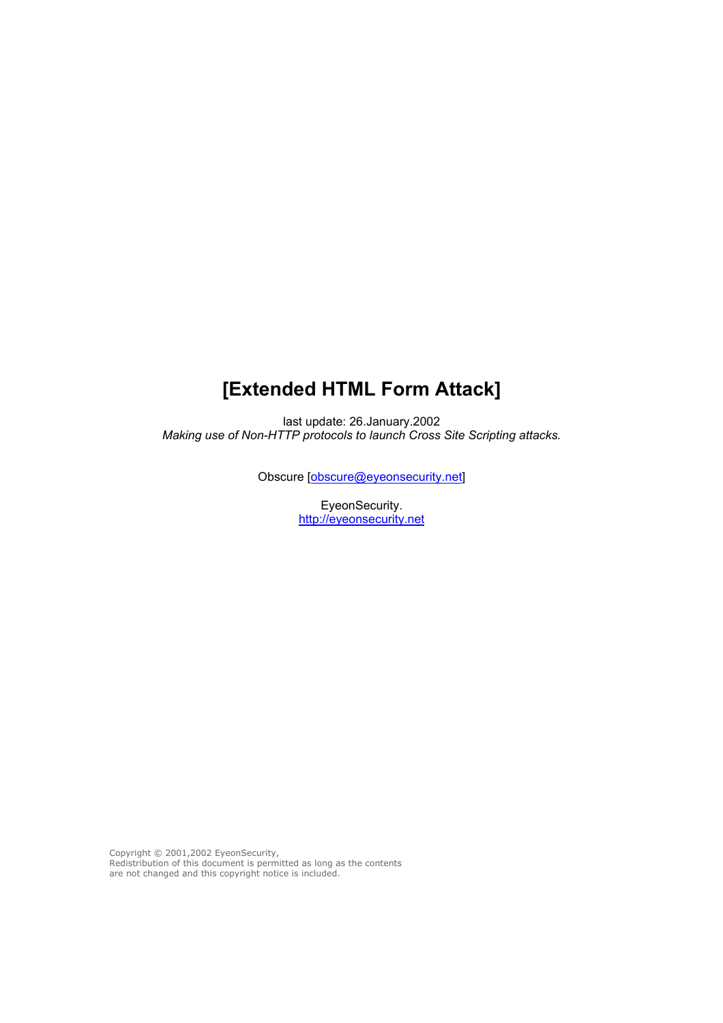# **[Extended HTML Form Attack]**

last update: 26.January.2002 *Making use of Non-HTTP protocols to launch Cross Site Scripting attacks.* 

Obscure [[obscure@eyeonsecurity.net](mailto:obscure@eyeonsecurity.net)]

EyeonSecurity. [http://eyeonsecurity.net](http://eyeonsecurity.net/)

Copyright © 2001,2002 EyeonSecurity, Redistribution of this document is permitted as long as the contents are not changed and this copyright notice is included.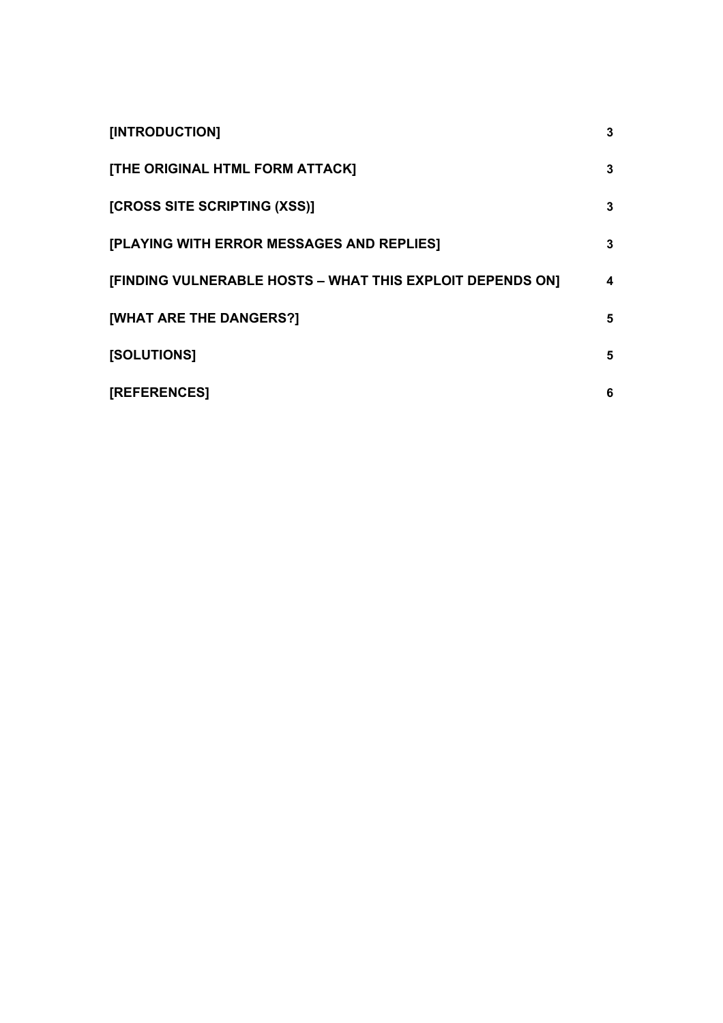| [INTRODUCTION]                                            | 3 |
|-----------------------------------------------------------|---|
| [THE ORIGINAL HTML FORM ATTACK]                           | 3 |
| [CROSS SITE SCRIPTING (XSS)]                              | 3 |
| [PLAYING WITH ERROR MESSAGES AND REPLIES]                 | 3 |
| [FINDING VULNERABLE HOSTS - WHAT THIS EXPLOIT DEPENDS ON] | 4 |
| [WHAT ARE THE DANGERS?]                                   | 5 |
| <b>[SOLUTIONS]</b>                                        | 5 |
| [REFERENCES]                                              | 6 |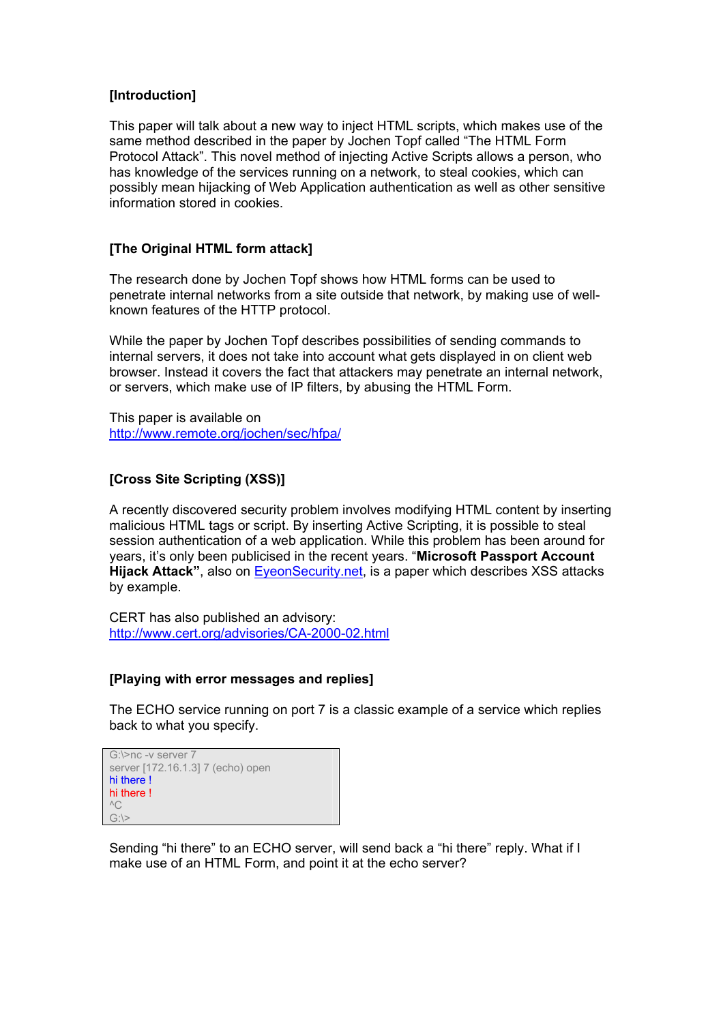## <span id="page-2-0"></span>**[Introduction]**

This paper will talk about a new way to inject HTML scripts, which makes use of the same method described in the paper by Jochen Topf called "The HTML Form Protocol Attack". This novel method of injecting Active Scripts allows a person, who has knowledge of the services running on a network, to steal cookies, which can possibly mean hijacking of Web Application authentication as well as other sensitive information stored in cookies.

## **[The Original HTML form attack]**

The research done by Jochen Topf shows how HTML forms can be used to penetrate internal networks from a site outside that network, by making use of wellknown features of the HTTP protocol.

While the paper by Jochen Topf describes possibilities of sending commands to internal servers, it does not take into account what gets displayed in on client web browser. Instead it covers the fact that attackers may penetrate an internal network, or servers, which make use of IP filters, by abusing the HTML Form.

This paper is available on <http://www.remote.org/jochen/sec/hfpa/>

#### **[Cross Site Scripting (XSS)]**

A recently discovered security problem involves modifying HTML content by inserting malicious HTML tags or script. By inserting Active Scripting, it is possible to steal session authentication of a web application. While this problem has been around for years, it's only been publicised in the recent years. "**Microsoft Passport Account Hijack Attack"**, also on [EyeonSecurity.net](http://eyeonsecurity.net/), is a paper which describes XSS attacks by example.

CERT has also published an advisory: <http://www.cert.org/advisories/CA-2000-02.html>

#### **[Playing with error messages and replies]**

The ECHO service running on port 7 is a classic example of a service which replies back to what you specify.

```
G:\>nc -v server 7 
server [172.16.1.3] 7 (echo) open 
hi there ! 
hi there ! 
^{\wedge}CG:\>
```
Sending "hi there" to an ECHO server, will send back a "hi there" reply. What if I make use of an HTML Form, and point it at the echo server?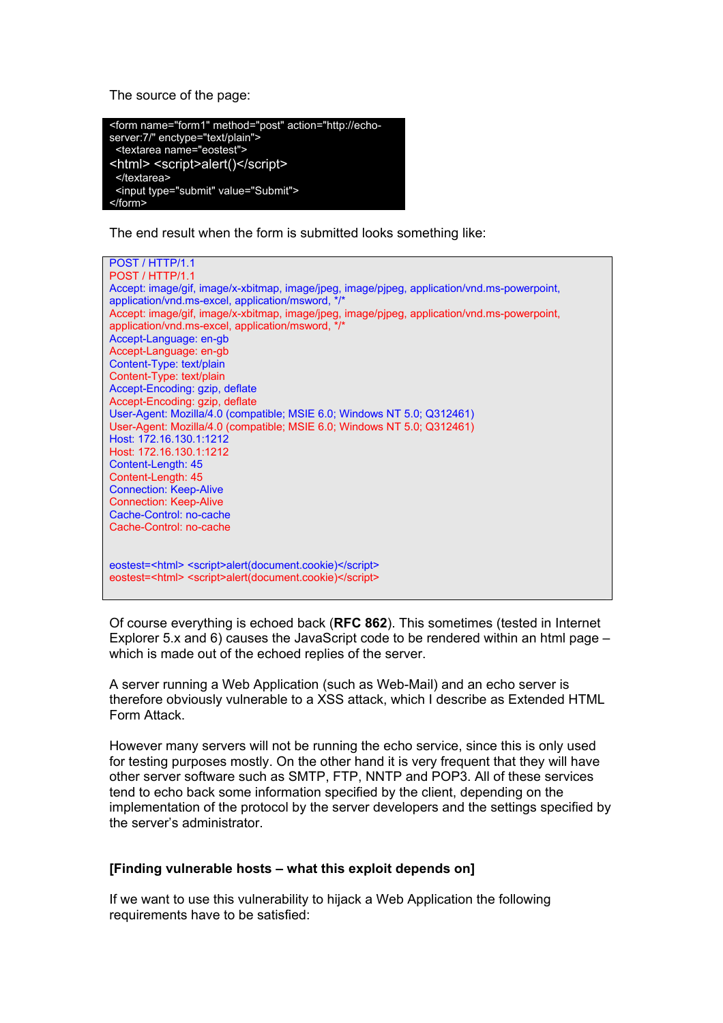<span id="page-3-0"></span>The source of the page:



The end result when the form is submitted looks something like:



Of course everything is echoed back (**RFC 862**). This sometimes (tested in Internet Explorer 5.x and 6) causes the JavaScript code to be rendered within an html page – which is made out of the echoed replies of the server.

A server running a Web Application (such as Web-Mail) and an echo server is therefore obviously vulnerable to a XSS attack, which I describe as Extended HTML Form Attack.

However many servers will not be running the echo service, since this is only used for testing purposes mostly. On the other hand it is very frequent that they will have other server software such as SMTP, FTP, NNTP and POP3. All of these services tend to echo back some information specified by the client, depending on the implementation of the protocol by the server developers and the settings specified by the server's administrator.

#### **[Finding vulnerable hosts – what this exploit depends on]**

If we want to use this vulnerability to hijack a Web Application the following requirements have to be satisfied: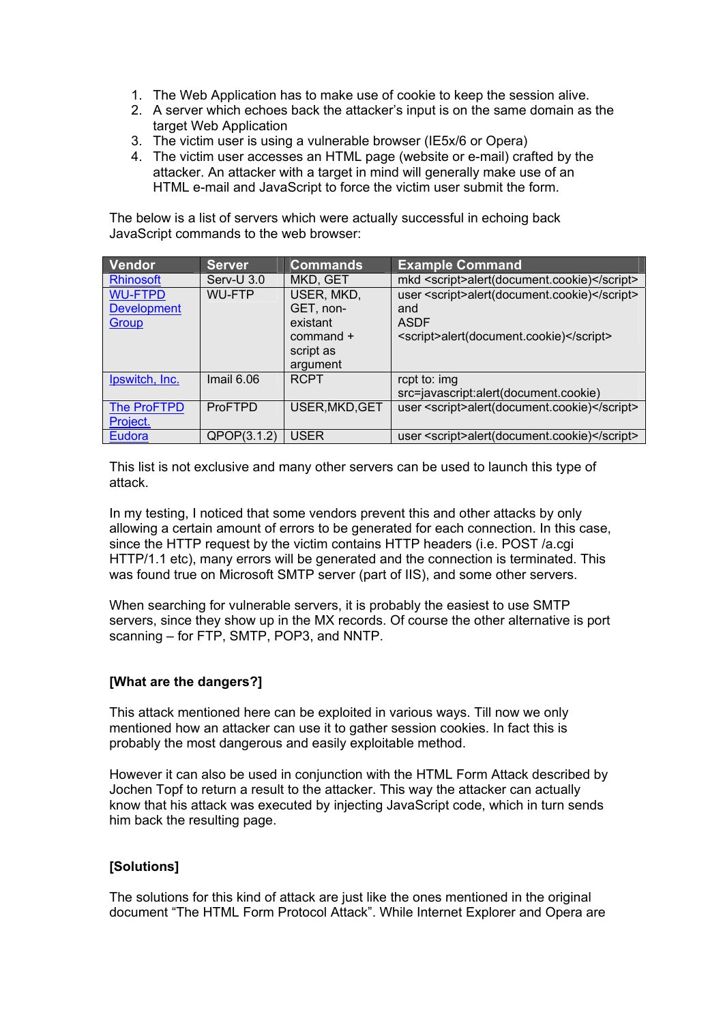- <span id="page-4-0"></span>1. The Web Application has to make use of cookie to keep the session alive.
- 2. A server which echoes back the attacker's input is on the same domain as the target Web Application
- 3. The victim user is using a vulnerable browser (IE5x/6 or Opera)
- 4. The victim user accesses an HTML page (website or e-mail) crafted by the attacker. An attacker with a target in mind will generally make use of an HTML e-mail and JavaScript to force the victim user submit the form.

The below is a list of servers which were actually successful in echoing back JavaScript commands to the web browser:

| Vendor             | <b>Server</b>  | <b>Commands</b> | <b>Example Command</b>                       |
|--------------------|----------------|-----------------|----------------------------------------------|
| <b>Rhinosoft</b>   | Serv-U 3.0     | MKD, GET        | mkd <script>alert(document.cookie)</script>  |
| <b>WU-FTPD</b>     | <b>WU-FTP</b>  | USER, MKD,      | user <script>alert(document.cookie)</script> |
| <b>Development</b> |                | GET, non-       | and                                          |
| Group              |                | existant        | <b>ASDF</b>                                  |
|                    |                | $command+$      | <script>alert(document.cookie)</script>      |
|                    |                | script as       |                                              |
|                    |                | argument        |                                              |
| Ipswitch, Inc.     | Imail $6.06$   | <b>RCPT</b>     | rcpt to: img                                 |
|                    |                |                 | src=javascript:alert(document.cookie)        |
| <b>The ProFTPD</b> | <b>ProFTPD</b> | USER, MKD, GET  | user <script>alert(document.cookie)</script> |
| Project.           |                |                 |                                              |
| Eudora             | QPOP(3.1.2)    | <b>USER</b>     | user <script>alert(document.cookie)</script> |

This list is not exclusive and many other servers can be used to launch this type of attack.

In my testing, I noticed that some vendors prevent this and other attacks by only allowing a certain amount of errors to be generated for each connection. In this case, since the HTTP request by the victim contains HTTP headers (i.e. POST /a.cgi HTTP/1.1 etc), many errors will be generated and the connection is terminated. This was found true on Microsoft SMTP server (part of IIS), and some other servers.

When searching for vulnerable servers, it is probably the easiest to use SMTP servers, since they show up in the MX records. Of course the other alternative is port scanning – for FTP, SMTP, POP3, and NNTP.

## **[What are the dangers?]**

This attack mentioned here can be exploited in various ways. Till now we only mentioned how an attacker can use it to gather session cookies. In fact this is probably the most dangerous and easily exploitable method.

However it can also be used in conjunction with the HTML Form Attack described by Jochen Topf to return a result to the attacker. This way the attacker can actually know that his attack was executed by injecting JavaScript code, which in turn sends him back the resulting page.

## **[Solutions]**

The solutions for this kind of attack are just like the ones mentioned in the original document "The HTML Form Protocol Attack". While Internet Explorer and Opera are